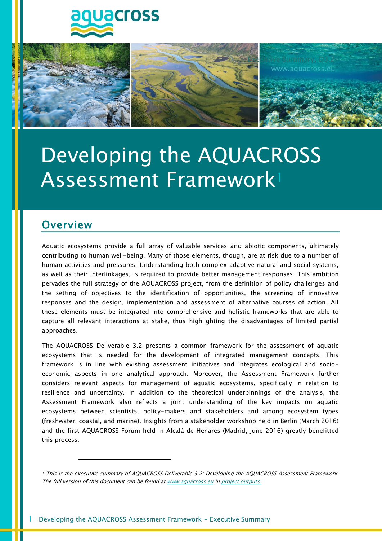



**Executive Summary, D3.2** 

www.aquacross.eu

## **Overview**

 $\overline{a}$ 

Aquatic ecosystems provide a full array of valuable services and abiotic components, ultimately contributing to human well-being. Many of those elements, though, are at risk due to a number of human activities and pressures. Understanding both complex adaptive natural and social systems, as well as their interlinkages, is required to provide better management responses. This ambition pervades the full strategy of the AQUACROSS project, from the definition of policy challenges and the setting of objectives to the identification of opportunities, the screening of innovative responses and the design, implementation and assessment of alternative courses of action. All these elements must be integrated into comprehensive and holistic frameworks that are able to capture all relevant interactions at stake, thus highlighting the disadvantages of limited partial approaches.

The AQUACROSS Deliverable 3.2 presents a common framework for the assessment of aquatic ecosystems that is needed for the development of integrated management concepts. This framework is in line with existing assessment initiatives and integrates ecological and socioeconomic aspects in one analytical approach. Moreover, the Assessment Framework further considers relevant aspects for management of aquatic ecosystems, specifically in relation to resilience and uncertainty. In addition to the theoretical underpinnings of the analysis, the Assessment Framework also reflects a joint understanding of the key impacts on aquatic ecosystems between scientists, policy-makers and stakeholders and among ecosystem types (freshwater, coastal, and marine). Insights from a stakeholder workshop held in Berlin (March 2016) and the first AQUACROSS Forum held in Alcalá de Henares (Madrid, June 2016) greatly benefitted this process.

<sup>1</sup> This is the executive summary of AQUACROSS Deliverable 3.2: Developing the AQUACROSS Assessment Framework. The full version of this document can be found a[t www.aquacross.eu](http://www.aquacross.eu/) i[n project outputs.](http://aquacross.eu/project-outputs)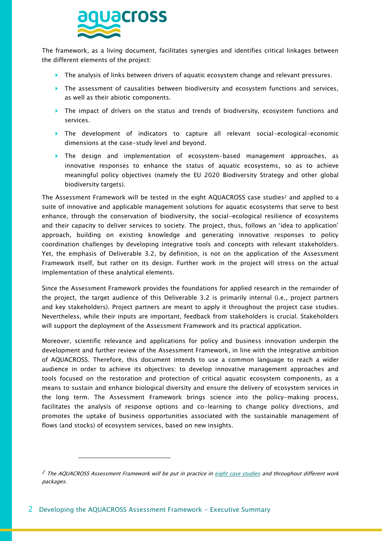

The framework, as a living document, facilitates synergies and identifies critical linkages between the different elements of the project:

- ▶ The analysis of links between drivers of aquatic ecosystem change and relevant pressures.
- The assessment of causalities between biodiversity and ecosystem functions and services, as well as their abiotic components.
- $\triangleright$  The impact of drivers on the status and trends of biodiversity, ecosystem functions and services.
- The development of indicators to capture all relevant social-ecological-economic dimensions at the case-study level and beyond.
- The design and implementation of ecosystem-based management approaches, as innovative responses to enhance the status of aquatic ecosystems, so as to achieve meaningful policy objectives (namely the EU 2020 Biodiversity Strategy and other global biodiversity targets).

The Assessment Framework will be tested in the eight AQUACROSS case studies<sup>2</sup> and applied to a suite of innovative and applicable management solutions for aquatic ecosystems that serve to best enhance, through the conservation of biodiversity, the social-ecological resilience of ecosystems and their capacity to deliver services to society. The project, thus, follows an 'idea to application' approach, building on existing knowledge and generating innovative responses to policy coordination challenges by developing integrative tools and concepts with relevant stakeholders. Yet, the emphasis of Deliverable 3.2, by definition, is not on the application of the Assessment Framework itself, but rather on its design. Further work in the project will stress on the actual implementation of these analytical elements.

Since the Assessment Framework provides the foundations for applied research in the remainder of the project, the target audience of this Deliverable 3.2 is primarily internal (i.e., project partners and key stakeholders). Project partners are meant to apply it throughout the project case studies. Nevertheless, while their inputs are important, feedback from stakeholders is crucial. Stakeholders will support the deployment of the Assessment Framework and its practical application.

Moreover, scientific relevance and applications for policy and business innovation underpin the development and further review of the Assessment Framework, in line with the integrative ambition of AQUACROSS. Therefore, this document intends to use a common language to reach a wider audience in order to achieve its objectives: to develop innovative management approaches and tools focused on the restoration and protection of critical aquatic ecosystem components, as a means to sustain and enhance biological diversity and ensure the delivery of ecosystem services in the long term. The Assessment Framework brings science into the policy-making process, facilitates the analysis of response options and co-learning to change policy directions, and promotes the uptake of business opportunities associated with the sustainable management of flows (and stocks) of ecosystem services, based on new insights.

-

<sup>&</sup>lt;sup>2</sup> The AQUACROSS Assessment Framework will be put in practice i[n eight case studies](http://aquacross.eu/case-studies) and throughout different work packages.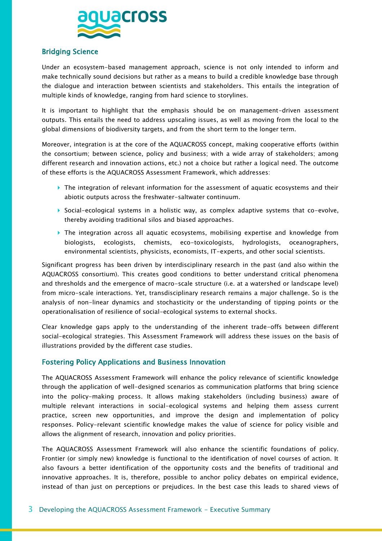

## Bridging Science

Under an ecosystem-based management approach, science is not only intended to inform and make technically sound decisions but rather as a means to build a credible knowledge base through the dialogue and interaction between scientists and stakeholders. This entails the integration of multiple kinds of knowledge, ranging from hard science to storylines.

It is important to highlight that the emphasis should be on management-driven assessment outputs. This entails the need to address upscaling issues, as well as moving from the local to the global dimensions of biodiversity targets, and from the short term to the longer term.

Moreover, integration is at the core of the AQUACROSS concept, making cooperative efforts (within the consortium; between science, policy and business; with a wide array of stakeholders; among different research and innovation actions, etc.) not a choice but rather a logical need. The outcome of these efforts is the AQUACROSS Assessment Framework, which addresses:

- $\blacktriangleright$  The integration of relevant information for the assessment of aquatic ecosystems and their abiotic outputs across the freshwater-saltwater continuum.
- Social-ecological systems in a holistic way, as complex adaptive systems that co-evolve, thereby avoiding traditional silos and biased approaches.
- The integration across all aquatic ecosystems, mobilising expertise and knowledge from biologists, ecologists, chemists, eco-toxicologists, hydrologists, oceanographers, environmental scientists, physicists, economists, IT-experts, and other social scientists.

Significant progress has been driven by interdisciplinary research in the past (and also within the AQUACROSS consortium). This creates good conditions to better understand critical phenomena and thresholds and the emergence of macro-scale structure (i.e. at a watershed or landscape level) from micro-scale interactions. Yet, transdisciplinary research remains a major challenge. So is the analysis of non-linear dynamics and stochasticity or the understanding of tipping points or the operationalisation of resilience of social-ecological systems to external shocks.

Clear knowledge gaps apply to the understanding of the inherent trade-offs between different social-ecological strategies. This Assessment Framework will address these issues on the basis of illustrations provided by the different case studies.

## Fostering Policy Applications and Business Innovation

The AQUACROSS Assessment Framework will enhance the policy relevance of scientific knowledge through the application of well-designed scenarios as communication platforms that bring science into the policy-making process. It allows making stakeholders (including business) aware of multiple relevant interactions in social-ecological systems and helping them assess current practice, screen new opportunities, and improve the design and implementation of policy responses. Policy-relevant scientific knowledge makes the value of science for policy visible and allows the alignment of research, innovation and policy priorities.

The AQUACROSS Assessment Framework will also enhance the scientific foundations of policy. Frontier (or simply new) knowledge is functional to the identification of novel courses of action. It also favours a better identification of the opportunity costs and the benefits of traditional and innovative approaches. It is, therefore, possible to anchor policy debates on empirical evidence, instead of than just on perceptions or prejudices. In the best case this leads to shared views of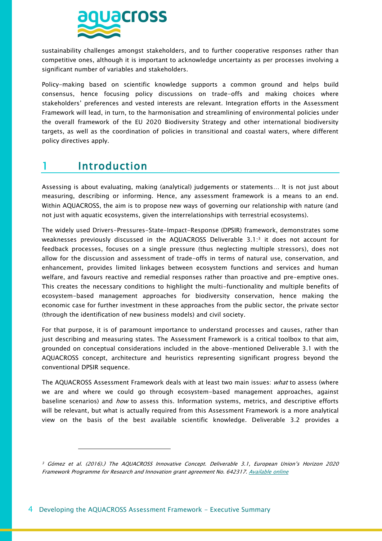

sustainability challenges amongst stakeholders, and to further cooperative responses rather than competitive ones, although it is important to acknowledge uncertainty as per processes involving a significant number of variables and stakeholders.

Policy-making based on scientific knowledge supports a common ground and helps build consensus, hence focusing policy discussions on trade-offs and making choices where stakeholders' preferences and vested interests are relevant. Integration efforts in the Assessment Framework will lead, in turn, to the harmonisation and streamlining of environmental policies under the overall framework of the EU 2020 Biodiversity Strategy and other international biodiversity targets, as well as the coordination of policies in transitional and coastal waters, where different policy directives apply.

# 1 Introduction

 $\overline{a}$ 

Assessing is about evaluating, making (analytical) judgements or statements… It is not just about measuring, describing or informing. Hence, any assessment framework is a means to an end. Within AQUACROSS, the aim is to propose new ways of governing our relationship with nature (and not just with aquatic ecosystems, given the interrelationships with terrestrial ecosystems).

The widely used Drivers-Pressures-State-Impact-Response (DPSIR) framework, demonstrates some weaknesses previously discussed in the AQUACROSS Deliverable 3.1: <sup>3</sup> it does not account for feedback processes, focuses on a single pressure (thus neglecting multiple stressors), does not allow for the discussion and assessment of trade-offs in terms of natural use, conservation, and enhancement, provides limited linkages between ecosystem functions and services and human welfare, and favours reactive and remedial responses rather than proactive and pre-emptive ones. This creates the necessary conditions to highlight the multi-functionality and multiple benefits of ecosystem-based management approaches for biodiversity conservation, hence making the economic case for further investment in these approaches from the public sector, the private sector (through the identification of new business models) and civil society.

For that purpose, it is of paramount importance to understand processes and causes, rather than just describing and measuring states. The Assessment Framework is a critical toolbox to that aim, grounded on conceptual considerations included in the above-mentioned Deliverable 3.1 with the AQUACROSS concept, architecture and heuristics representing significant progress beyond the conventional DPSIR sequence.

The AQUACROSS Assessment Framework deals with at least two main issues: *what* to assess (where we are and where we could go through ecosystem-based management approaches, against baseline scenarios) and *how* to assess this. Information systems, metrics, and descriptive efforts will be relevant, but what is actually required from this Assessment Framework is a more analytical view on the basis of the best available scientific knowledge. Deliverable 3.2 provides a

<sup>3</sup> Gómez et al. (2016).) The AQUACROSS Innovative Concept. Deliverable 3.1, European Union's Horizon 2020 Framework Programme for Research and Innovation grant agreement No. 642317. [Available online](http://aquacross.eu/sites/default/files/D3.1%20Innovative%20Concept.pdf)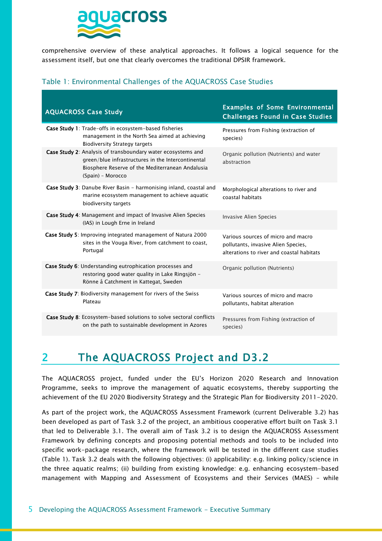

comprehensive overview of these analytical approaches. It follows a logical sequence for the assessment itself, but one that clearly overcomes the traditional DPSIR framework.

## Table 1: Environmental Challenges of the AQUACROSS Case Studies

| <b>AQUACROSS Case Study</b>                                                                                                                                                                 | <b>Examples of Some Environmental</b><br><b>Challenges Found in Case Studies</b>                                       |
|---------------------------------------------------------------------------------------------------------------------------------------------------------------------------------------------|------------------------------------------------------------------------------------------------------------------------|
| <b>Case Study 1:</b> Trade-offs in ecosystem-based fisheries<br>management in the North Sea aimed at achieving<br><b>Biodiversity Strategy targets</b>                                      | Pressures from Fishing (extraction of<br>species)                                                                      |
| Case Study 2: Analysis of transboundary water ecosystems and<br>green/blue infrastructures in the Intercontinental<br>Biosphere Reserve of the Mediterranean Andalusia<br>(Spain) - Morocco | Organic pollution (Nutrients) and water<br>abstraction                                                                 |
| <b>Case Study 3:</b> Danube River Basin – harmonising inland, coastal and<br>marine ecosystem management to achieve aquatic<br>biodiversity targets                                         | Morphological alterations to river and<br>coastal habitats                                                             |
| Case Study 4: Management and impact of Invasive Alien Species<br>(IAS) in Lough Erne in Ireland                                                                                             | <b>Invasive Alien Species</b>                                                                                          |
| Case Study 5: Improving integrated management of Natura 2000<br>sites in the Vouga River, from catchment to coast,<br>Portugal                                                              | Various sources of micro and macro<br>pollutants, invasive Alien Species,<br>alterations to river and coastal habitats |
| Case Study 6: Understanding eutrophication processes and<br>restoring good water quality in Lake Ringsjön -<br>Rönne å Catchment in Kattegat, Sweden                                        | Organic pollution (Nutrients)                                                                                          |
| Case Study 7: Biodiversity management for rivers of the Swiss<br>Plateau                                                                                                                    | Various sources of micro and macro<br>pollutants, habitat alteration                                                   |
| <b>Case Study 8:</b> Ecosystem-based solutions to solve sectoral conflicts<br>on the path to sustainable development in Azores                                                              | Pressures from Fishing (extraction of<br>species)                                                                      |

# 2 The AQUACROSS Project and D3.2

The AQUACROSS project, funded under the EU's Horizon 2020 Research and Innovation Programme, seeks to improve the management of aquatic ecosystems, thereby supporting the achievement of the EU 2020 Biodiversity Strategy and the Strategic Plan for Biodiversity 2011-2020.

As part of the project work, the AQUACROSS Assessment Framework (current Deliverable 3.2) has been developed as part of Task 3.2 of the project, an ambitious cooperative effort built on Task 3.1 that led to Deliverable 3.1. The overall aim of Task 3.2 is to design the AQUACROSS Assessment Framework by defining concepts and proposing potential methods and tools to be included into specific work-package research, where the framework will be tested in the different case studies (Table 1). Task 3.2 deals with the following objectives: (i) applicability: e.g. linking policy/science in the three aquatic realms; (ii) building from existing knowledge: e.g. enhancing ecosystem-based management with Mapping and Assessment of Ecosystems and their Services (MAES) – while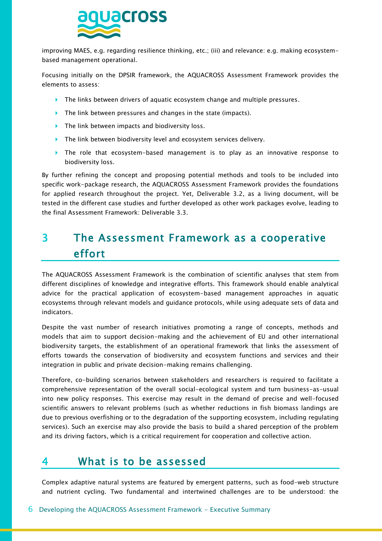

improving MAES, e.g. regarding resilience thinking, etc.; (iii) and relevance: e.g. making ecosystembased management operational.

Focusing initially on the DPSIR framework, the AQUACROSS Assessment Framework provides the elements to assess:

- $\triangleright$  The links between drivers of aquatic ecosystem change and multiple pressures.
- The link between pressures and changes in the state (impacts).
- ▶ The link between impacts and biodiversity loss.
- The link between biodiversity level and ecosystem services delivery.
- The role that ecosystem-based management is to play as an innovative response to biodiversity loss.

By further refining the concept and proposing potential methods and tools to be included into specific work-package research, the AQUACROSS Assessment Framework provides the foundations for applied research throughout the project. Yet, Deliverable 3.2, as a living document, will be tested in the different case studies and further developed as other work packages evolve, leading to the final Assessment Framework: Deliverable 3.3.

# 3 The Assessment Framework as a cooperative effort

The AQUACROSS Assessment Framework is the combination of scientific analyses that stem from different disciplines of knowledge and integrative efforts. This framework should enable analytical advice for the practical application of ecosystem-based management approaches in aquatic ecosystems through relevant models and guidance protocols, while using adequate sets of data and indicators.

Despite the vast number of research initiatives promoting a range of concepts, methods and models that aim to support decision-making and the achievement of EU and other international biodiversity targets, the establishment of an operational framework that links the assessment of efforts towards the conservation of biodiversity and ecosystem functions and services and their integration in public and private decision-making remains challenging.

Therefore, co-building scenarios between stakeholders and researchers is required to facilitate a comprehensive representation of the overall social-ecological system and turn business-as-usual into new policy responses. This exercise may result in the demand of precise and well-focused scientific answers to relevant problems (such as whether reductions in fish biomass landings are due to previous overfishing or to the degradation of the supporting ecosystem, including regulating services). Such an exercise may also provide the basis to build a shared perception of the problem and its driving factors, which is a critical requirement for cooperation and collective action.

# <span id="page-5-0"></span>What is to be assessed

Complex adaptive natural systems are featured by emergent patterns, such as food-web structure and nutrient cycling. Two fundamental and intertwined challenges are to be understood: the

### 6 Developing the AQUACROSS Assessment Framework - Executive Summary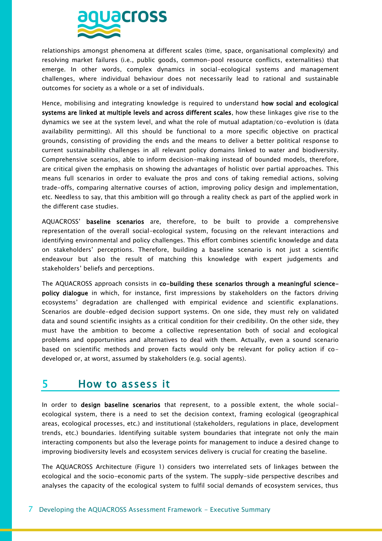

relationships amongst phenomena at different scales (time, space, organisational complexity) and resolving market failures (i.e., public goods, common-pool resource conflicts, externalities) that emerge. In other words, complex dynamics in social-ecological systems and management challenges, where individual behaviour does not necessarily lead to rational and sustainable outcomes for society as a whole or a set of individuals.

Hence, mobilising and integrating knowledge is required to understand how social and ecological systems are linked at multiple levels and across different scales, how these linkages give rise to the dynamics we see at the system level, and what the role of mutual adaptation/co-evolution is (data availability permitting). All this should be functional to a more specific objective on practical grounds, consisting of providing the ends and the means to deliver a better political response to current sustainability challenges in all relevant policy domains linked to water and biodiversity. Comprehensive scenarios, able to inform decision-making instead of bounded models, therefore, are critical given the emphasis on showing the advantages of holistic over partial approaches. This means full scenarios in order to evaluate the pros and cons of taking remedial actions, solving trade-offs, comparing alternative courses of action, improving policy design and implementation, etc. Needless to say, that this ambition will go through a reality check as part of the applied work in the different case studies.

AQUACROSS' baseline scenarios are, therefore, to be built to provide a comprehensive representation of the overall social-ecological system, focusing on the relevant interactions and identifying environmental and policy challenges. This effort combines scientific knowledge and data on stakeholders' perceptions. Therefore, building a baseline scenario is not just a scientific endeavour but also the result of matching this knowledge with expert judgements and stakeholders' beliefs and perceptions.

The AQUACROSS approach consists in co-building these scenarios through a meaningful sciencepolicy dialogue in which, for instance, first impressions by stakeholders on the factors driving ecosystems' degradation are challenged with empirical evidence and scientific explanations. Scenarios are double-edged decision support systems. On one side, they must rely on validated data and sound scientific insights as a critical condition for their credibility. On the other side, they must have the ambition to become a collective representation both of social and ecological problems and opportunities and alternatives to deal with them. Actually, even a sound scenario based on scientific methods and proven facts would only be relevant for policy action if codeveloped or, at worst, assumed by stakeholders (e.g. social agents).

## 5 How to assess it

In order to design baseline scenarios that represent, to a possible extent, the whole socialecological system, there is a need to set the decision context, framing ecological (geographical areas, ecological processes, etc.) and institutional (stakeholders, regulations in place, development trends, etc.) boundaries. Identifying suitable system boundaries that integrate not only the main interacting components but also the leverage points for management to induce a desired change to improving biodiversity levels and ecosystem services delivery is crucial for creating the baseline.

The AQUACROSS Architecture [\(Figure 1\)](#page-7-0) considers two interrelated sets of linkages between the ecological and the socio-economic parts of the system. The supply-side perspective describes and analyses the capacity of the ecological system to fulfil social demands of ecosystem services, thus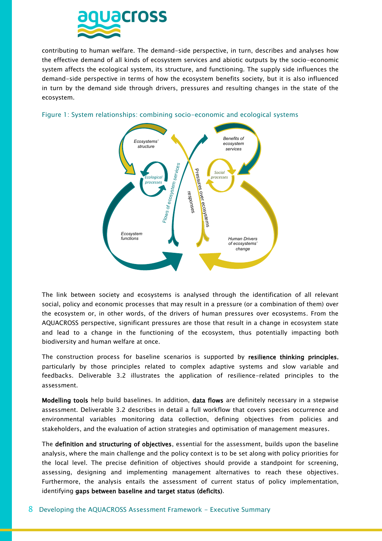

contributing to human welfare. The demand-side perspective, in turn, describes and analyses how the effective demand of all kinds of ecosystem services and abiotic outputs by the socio-economic system affects the ecological system, its structure, and functioning. The supply side influences the demand-side perspective in terms of how the ecosystem benefits society, but it is also influenced in turn by the demand side through drivers, pressures and resulting changes in the state of the ecosystem.



## <span id="page-7-0"></span>Figure 1: System relationships: combining socio-economic and ecological systems

The link between society and ecosystems is analysed through the identification of all relevant social, policy and economic processes that may result in a pressure (or a combination of them) over the ecosystem or, in other words, of the drivers of human pressures over ecosystems. From the AQUACROSS perspective, significant pressures are those that result in a change in ecosystem state and lead to a change in the functioning of the ecosystem, thus potentially impacting both biodiversity and human welfare at once.

The construction process for baseline scenarios is supported by resilience thinking principles, particularly by those principles related to complex adaptive systems and slow variable and feedbacks. Deliverable 3.2 illustrates the application of resilience-related principles to the assessment.

Modelling tools help build baselines. In addition, data flows are definitely necessary in a stepwise assessment. Deliverable 3.2 describes in detail a full workflow that covers species occurrence and environmental variables monitoring data collection, defining objectives from policies and stakeholders, and the evaluation of action strategies and optimisation of management measures.

The definition and structuring of objectives, essential for the assessment, builds upon the baseline analysis, where the main challenge and the policy context is to be set along with policy priorities for the local level. The precise definition of objectives should provide a standpoint for screening, assessing, designing and implementing management alternatives to reach these objectives. Furthermore, the analysis entails the assessment of current status of policy implementation, identifying gaps between baseline and target status (deficits).

#### 8 Developing the AQUACROSS Assessment Framework - Executive Summary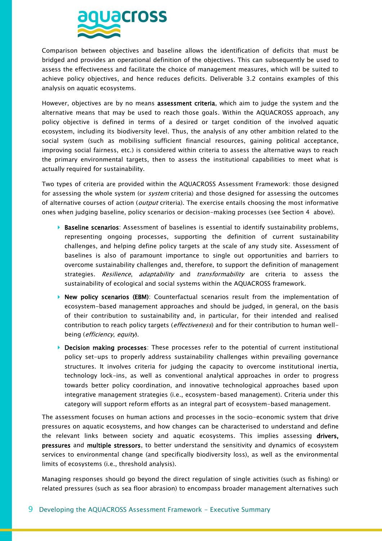

Comparison between objectives and baseline allows the identification of deficits that must be bridged and provides an operational definition of the objectives. This can subsequently be used to assess the effectiveness and facilitate the choice of management measures, which will be suited to achieve policy objectives, and hence reduces deficits. Deliverable 3.2 contains examples of this analysis on aquatic ecosystems.

However, objectives are by no means assessment criteria, which aim to judge the system and the alternative means that may be used to reach those goals. Within the AQUACROSS approach, any policy objective is defined in terms of a desired or target condition of the involved aquatic ecosystem, including its biodiversity level. Thus, the analysis of any other ambition related to the social system (such as mobilising sufficient financial resources, gaining political acceptance, improving social fairness, etc.) is considered within criteria to assess the alternative ways to reach the primary environmental targets, then to assess the institutional capabilities to meet what is actually required for sustainability.

Two types of criteria are provided within the AQUACROSS Assessment Framework: those designed for assessing the whole system (or *system* criteria) and those designed for assessing the outcomes of alternative courses of action (*output* criteria). The exercise entails choosing the most informative ones when judging baseline, policy scenarios or decision-making processes (see Section [4 a](#page-5-0)bove).

- **Baseline scenarios**: Assessment of baselines is essential to identify sustainability problems, representing ongoing processes, supporting the definition of current sustainability challenges, and helping define policy targets at the scale of any study site. Assessment of baselines is also of paramount importance to single out opportunities and barriers to overcome sustainability challenges and, therefore, to support the definition of management strategies. Resilience, adaptability and transformability are criteria to assess the sustainability of ecological and social systems within the AQUACROSS framework.
- ▶ New policy scenarios (EBM): Counterfactual scenarios result from the implementation of ecosystem-based management approaches and should be judged, in general, on the basis of their contribution to sustainability and, in particular, for their intended and realised contribution to reach policy targets (*effectiveness*) and for their contribution to human wellbeing (*efficiency*, *equity*).
- **Decision making processes**: These processes refer to the potential of current institutional policy set-ups to properly address sustainability challenges within prevailing governance structures. It involves criteria for judging the capacity to overcome institutional inertia, technology lock-ins, as well as conventional analytical approaches in order to progress towards better policy coordination, and innovative technological approaches based upon integrative management strategies (i.e., ecosystem-based management). Criteria under this category will support reform efforts as an integral part of ecosystem-based management.

The assessment focuses on human actions and processes in the socio-economic system that drive pressures on aquatic ecosystems, and how changes can be characterised to understand and define the relevant links between society and aquatic ecosystems. This implies assessing drivers, pressures and multiple stressors, to better understand the sensitivity and dynamics of ecosystem services to environmental change (and specifically biodiversity loss), as well as the environmental limits of ecosystems (i.e., threshold analysis).

Managing responses should go beyond the direct regulation of single activities (such as fishing) or related pressures (such as sea floor abrasion) to encompass broader management alternatives such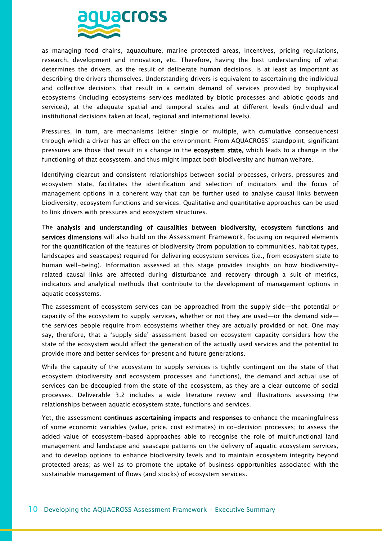

as managing food chains, aquaculture, marine protected areas, incentives, pricing regulations, research, development and innovation, etc. Therefore, having the best understanding of what determines the drivers, as the result of deliberate human decisions, is at least as important as describing the drivers themselves. Understanding drivers is equivalent to ascertaining the individual and collective decisions that result in a certain demand of services provided by biophysical ecosystems (including ecosystems services mediated by biotic processes and abiotic goods and services), at the adequate spatial and temporal scales and at different levels (individual and institutional decisions taken at local, regional and international levels).

Pressures, in turn, are mechanisms (either single or multiple, with cumulative consequences) through which a driver has an effect on the environment. From AQUACROSS' standpoint, significant pressures are those that result in a change in the ecosystem state, which leads to a change in the functioning of that ecosystem, and thus might impact both biodiversity and human welfare.

Identifying clearcut and consistent relationships between social processes, drivers, pressures and ecosystem state, facilitates the identification and selection of indicators and the focus of management options in a coherent way that can be further used to analyse causal links between biodiversity, ecosystem functions and services. Qualitative and quantitative approaches can be used to link drivers with pressures and ecosystem structures.

The analysis and understanding of causalities between biodiversity, ecosystem functions and services dimensions will also build on the Assessment Framework, focusing on required elements for the quantification of the features of biodiversity (from population to communities, habitat types, landscapes and seascapes) required for delivering ecosystem services (i.e., from ecosystem state to human well-being). Information assessed at this stage provides insights on how biodiversityrelated causal links are affected during disturbance and recovery through a suit of metrics, indicators and analytical methods that contribute to the development of management options in aquatic ecosystems.

The assessment of ecosystem services can be approached from the supply side—the potential or capacity of the ecosystem to supply services, whether or not they are used—or the demand side the services people require from ecosystems whether they are actually provided or not. One may say, therefore, that a 'supply side' assessment based on ecosystem capacity considers how the state of the ecosystem would affect the generation of the actually used services and the potential to provide more and better services for present and future generations.

While the capacity of the ecosystem to supply services is tightly contingent on the state of that ecosystem (biodiversity and ecosystem processes and functions), the demand and actual use of services can be decoupled from the state of the ecosystem, as they are a clear outcome of social processes. Deliverable 3.2 includes a wide literature review and illustrations assessing the relationships between aquatic ecosystem state, functions and services.

Yet, the assessment continues ascertaining impacts and responses to enhance the meaningfulness of some economic variables (value, price, cost estimates) in co-decision processes; to assess the added value of ecosystem-based approaches able to recognise the role of multifunctional land management and landscape and seascape patterns on the delivery of aquatic ecosystem services, and to develop options to enhance biodiversity levels and to maintain ecosystem integrity beyond protected areas; as well as to promote the uptake of business opportunities associated with the sustainable management of flows (and stocks) of ecosystem services.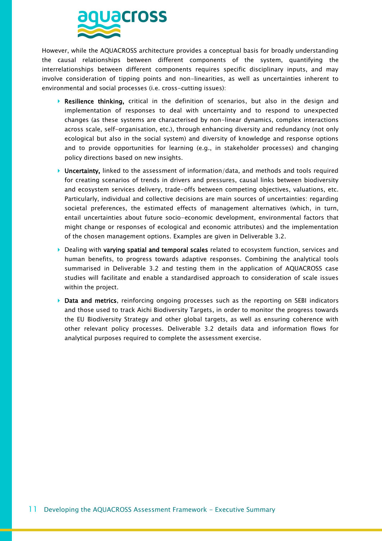

However, while the AQUACROSS architecture provides a conceptual basis for broadly understanding the causal relationships between different components of the system, quantifying the interrelationships between different components requires specific disciplinary inputs, and may involve consideration of tipping points and non-linearities, as well as uncertainties inherent to environmental and social processes (i.e. cross-cutting issues):

- Resilience thinking, critical in the definition of scenarios, but also in the design and implementation of responses to deal with uncertainty and to respond to unexpected changes (as these systems are characterised by non-linear dynamics, complex interactions across scale, self-organisation, etc.), through enhancing diversity and redundancy (not only ecological but also in the social system) and diversity of knowledge and response options and to provide opportunities for learning (e.g., in stakeholder processes) and changing policy directions based on new insights.
- ▶ Uncertainty, linked to the assessment of information/data, and methods and tools required for creating scenarios of trends in drivers and pressures, causal links between biodiversity and ecosystem services delivery, trade-offs between competing objectives, valuations, etc. Particularly, individual and collective decisions are main sources of uncertainties: regarding societal preferences, the estimated effects of management alternatives (which, in turn, entail uncertainties about future socio-economic development, environmental factors that might change or responses of ecological and economic attributes) and the implementation of the chosen management options. Examples are given in Deliverable 3.2.
- $\triangleright$  Dealing with varying spatial and temporal scales related to ecosystem function, services and human benefits, to progress towards adaptive responses. Combining the analytical tools summarised in Deliverable 3.2 and testing them in the application of AQUACROSS case studies will facilitate and enable a standardised approach to consideration of scale issues within the project.
- Data and metrics, reinforcing ongoing processes such as the reporting on SEBI indicators and those used to track Aichi Biodiversity Targets, in order to monitor the progress towards the EU Biodiversity Strategy and other global targets, as well as ensuring coherence with other relevant policy processes. Deliverable 3.2 details data and information flows for analytical purposes required to complete the assessment exercise.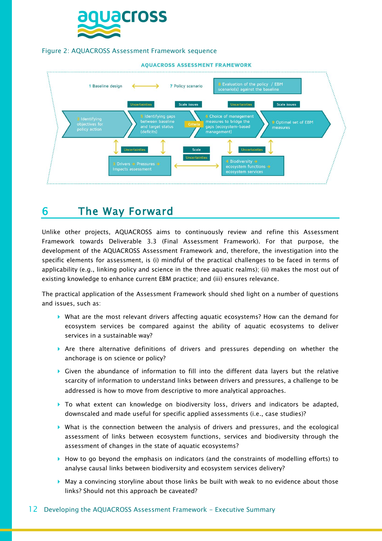

#### Figure 2: AQUACROSS Assessment Framework sequence



## 6 The Way Forward

Unlike other projects, AQUACROSS aims to continuously review and refine this Assessment Framework towards Deliverable 3.3 (Final Assessment Framework). For that purpose, the development of the AQUACROSS Assessment Framework and, therefore, the investigation into the specific elements for assessment, is (i) mindful of the practical challenges to be faced in terms of applicability (e.g., linking policy and science in the three aquatic realms); (ii) makes the most out of existing knowledge to enhance current EBM practice; and (iii) ensures relevance.

The practical application of the Assessment Framework should shed light on a number of questions and issues, such as:

- What are the most relevant drivers affecting aquatic ecosystems? How can the demand for ecosystem services be compared against the ability of aquatic ecosystems to deliver services in a sustainable way?
- $\triangleright$  Are there alternative definitions of drivers and pressures depending on whether the anchorage is on science or policy?
- Given the abundance of information to fill into the different data layers but the relative scarcity of information to understand links between drivers and pressures, a challenge to be addressed is how to move from descriptive to more analytical approaches.
- $\triangleright$  To what extent can knowledge on biodiversity loss, drivers and indicators be adapted, downscaled and made useful for specific applied assessments (i.e., case studies)?
- $\triangleright$  What is the connection between the analysis of drivers and pressures, and the ecological assessment of links between ecosystem functions, services and biodiversity through the assessment of changes in the state of aquatic ecosystems?
- $\blacktriangleright$  How to go beyond the emphasis on indicators (and the constraints of modelling efforts) to analyse causal links between biodiversity and ecosystem services delivery?
- May a convincing storyline about those links be built with weak to no evidence about those links? Should not this approach be caveated?

## 12 Developing the AQUACROSS Assessment Framework - Executive Summary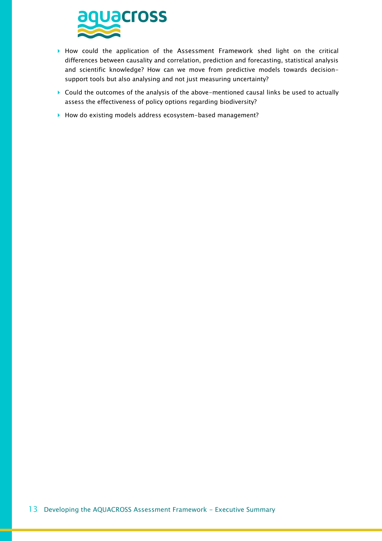

- How could the application of the Assessment Framework shed light on the critical differences between causality and correlation, prediction and forecasting, statistical analysis and scientific knowledge? How can we move from predictive models towards decisionsupport tools but also analysing and not just measuring uncertainty?
- Could the outcomes of the analysis of the above-mentioned causal links be used to actually assess the effectiveness of policy options regarding biodiversity?
- ▶ How do existing models address ecosystem-based management?